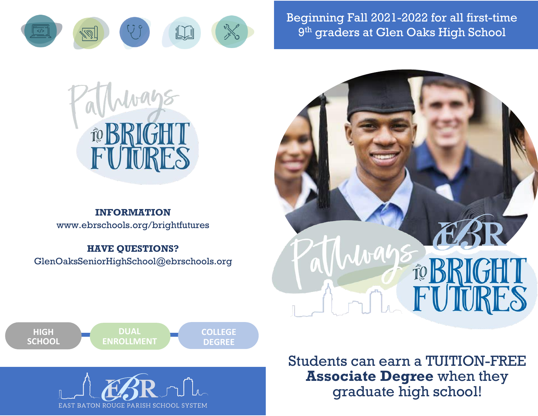

Beginning Fall 2021-2022 for all first-time 9 th graders at Glen Oaks High School



# **INFORMATION**

www.ebrschools.org/brightfutures

#### **HAVE QUESTIONS?**

GlenOaksSeniorHighSchool@ebrschools.org





EAST BATON ROUGE PARISH SCHOOL SYSTEM